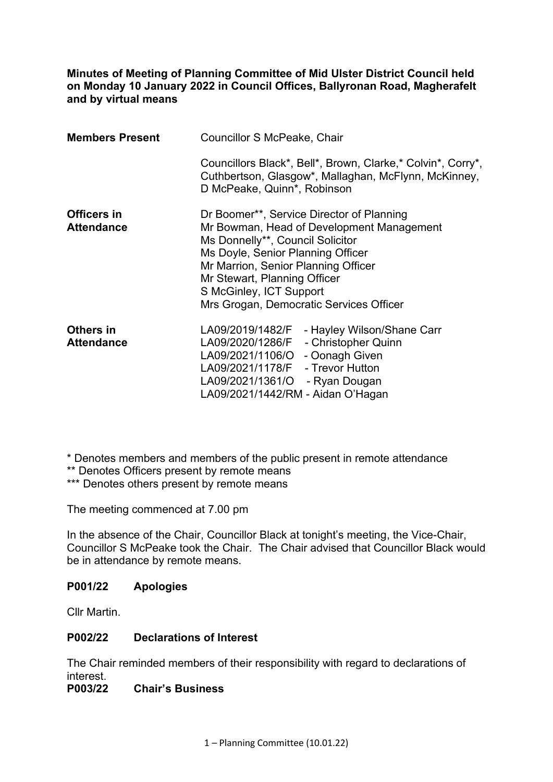**Minutes of Meeting of Planning Committee of Mid Ulster District Council held on Monday 10 January 2022 in Council Offices, Ballyronan Road, Magherafelt and by virtual means** 

| <b>Members Present</b> | Councillor S McPeake, Chair                                                                                                                                                                                                                                     |
|------------------------|-----------------------------------------------------------------------------------------------------------------------------------------------------------------------------------------------------------------------------------------------------------------|
|                        | Councillors Black*, Bell*, Brown, Clarke,* Colvin*, Corry*,<br>Cuthbertson, Glasgow*, Mallaghan, McFlynn, McKinney,<br>D McPeake, Quinn*, Robinson                                                                                                              |
| Officers in            | Dr Boomer**, Service Director of Planning                                                                                                                                                                                                                       |
| <b>Attendance</b>      | Mr Bowman, Head of Development Management<br>Ms Donnelly**, Council Solicitor<br>Ms Doyle, Senior Planning Officer<br>Mr Marrion, Senior Planning Officer<br>Mr Stewart, Planning Officer<br>S McGinley, ICT Support<br>Mrs Grogan, Democratic Services Officer |
| Others in              | LA09/2019/1482/F<br>- Hayley Wilson/Shane Carr                                                                                                                                                                                                                  |
| <b>Attendance</b>      | LA09/2020/1286/F - Christopher Quinn                                                                                                                                                                                                                            |
|                        | LA09/2021/1106/O - Oonagh Given                                                                                                                                                                                                                                 |
|                        | LA09/2021/1178/F - Trevor Hutton                                                                                                                                                                                                                                |
|                        | LA09/2021/1361/O - Ryan Dougan                                                                                                                                                                                                                                  |
|                        | LA09/2021/1442/RM - Aidan O'Hagan                                                                                                                                                                                                                               |

\* Denotes members and members of the public present in remote attendance

\*\* Denotes Officers present by remote means

\*\*\* Denotes others present by remote means

The meeting commenced at 7.00 pm

In the absence of the Chair, Councillor Black at tonight's meeting, the Vice-Chair, Councillor S McPeake took the Chair. The Chair advised that Councillor Black would be in attendance by remote means.

### **P001/22 Apologies**

Cllr Martin.

### **P002/22 Declarations of Interest**

The Chair reminded members of their responsibility with regard to declarations of interest.

#### **P003/22 Chair's Business**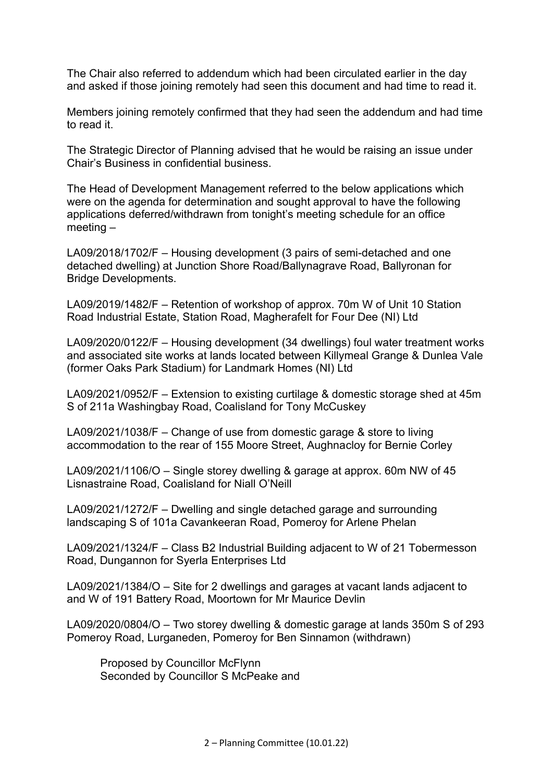The Chair also referred to addendum which had been circulated earlier in the day and asked if those joining remotely had seen this document and had time to read it.

Members joining remotely confirmed that they had seen the addendum and had time to read it.

The Strategic Director of Planning advised that he would be raising an issue under Chair's Business in confidential business.

The Head of Development Management referred to the below applications which were on the agenda for determination and sought approval to have the following applications deferred/withdrawn from tonight's meeting schedule for an office meeting –

LA09/2018/1702/F – Housing development (3 pairs of semi-detached and one detached dwelling) at Junction Shore Road/Ballynagrave Road, Ballyronan for Bridge Developments.

LA09/2019/1482/F – Retention of workshop of approx. 70m W of Unit 10 Station Road Industrial Estate, Station Road, Magherafelt for Four Dee (NI) Ltd

LA09/2020/0122/F – Housing development (34 dwellings) foul water treatment works and associated site works at lands located between Killymeal Grange & Dunlea Vale (former Oaks Park Stadium) for Landmark Homes (NI) Ltd

LA09/2021/0952/F – Extension to existing curtilage & domestic storage shed at 45m S of 211a Washingbay Road, Coalisland for Tony McCuskey

LA09/2021/1038/F – Change of use from domestic garage & store to living accommodation to the rear of 155 Moore Street, Aughnacloy for Bernie Corley

LA09/2021/1106/O – Single storey dwelling & garage at approx. 60m NW of 45 Lisnastraine Road, Coalisland for Niall O'Neill

LA09/2021/1272/F – Dwelling and single detached garage and surrounding landscaping S of 101a Cavankeeran Road, Pomeroy for Arlene Phelan

LA09/2021/1324/F – Class B2 Industrial Building adjacent to W of 21 Tobermesson Road, Dungannon for Syerla Enterprises Ltd

LA09/2021/1384/O – Site for 2 dwellings and garages at vacant lands adjacent to and W of 191 Battery Road, Moortown for Mr Maurice Devlin

LA09/2020/0804/O – Two storey dwelling & domestic garage at lands 350m S of 293 Pomeroy Road, Lurganeden, Pomeroy for Ben Sinnamon (withdrawn)

 Proposed by Councillor McFlynn Seconded by Councillor S McPeake and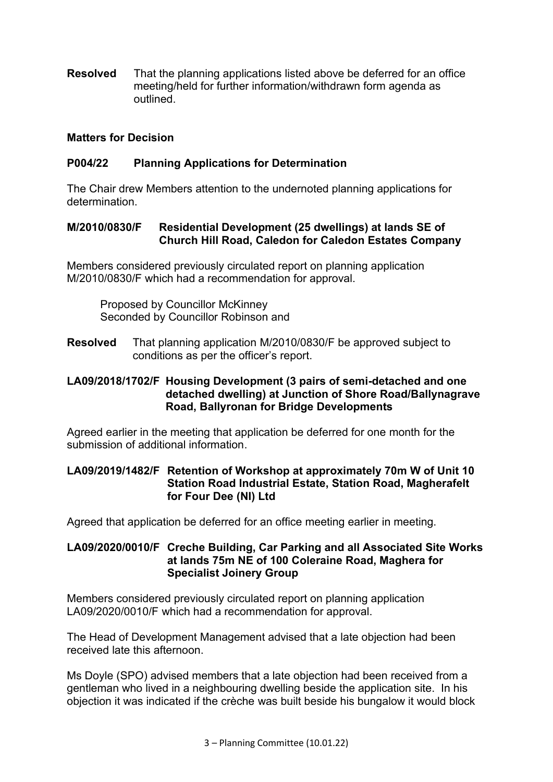**Resolved** That the planning applications listed above be deferred for an office meeting/held for further information/withdrawn form agenda as outlined.

### **Matters for Decision**

# **P004/22 Planning Applications for Determination**

The Chair drew Members attention to the undernoted planning applications for determination.

#### **M/2010/0830/F Residential Development (25 dwellings) at lands SE of Church Hill Road, Caledon for Caledon Estates Company**

Members considered previously circulated report on planning application M/2010/0830/F which had a recommendation for approval.

Proposed by Councillor McKinney Seconded by Councillor Robinson and

**Resolved** That planning application M/2010/0830/F be approved subject to conditions as per the officer's report.

### **LA09/2018/1702/F Housing Development (3 pairs of semi-detached and one detached dwelling) at Junction of Shore Road/Ballynagrave Road, Ballyronan for Bridge Developments**

Agreed earlier in the meeting that application be deferred for one month for the submission of additional information.

# **LA09/2019/1482/F Retention of Workshop at approximately 70m W of Unit 10 Station Road Industrial Estate, Station Road, Magherafelt for Four Dee (NI) Ltd**

Agreed that application be deferred for an office meeting earlier in meeting.

# **LA09/2020/0010/F Creche Building, Car Parking and all Associated Site Works at lands 75m NE of 100 Coleraine Road, Maghera for Specialist Joinery Group**

Members considered previously circulated report on planning application LA09/2020/0010/F which had a recommendation for approval.

The Head of Development Management advised that a late objection had been received late this afternoon.

Ms Doyle (SPO) advised members that a late objection had been received from a gentleman who lived in a neighbouring dwelling beside the application site. In his objection it was indicated if the crèche was built beside his bungalow it would block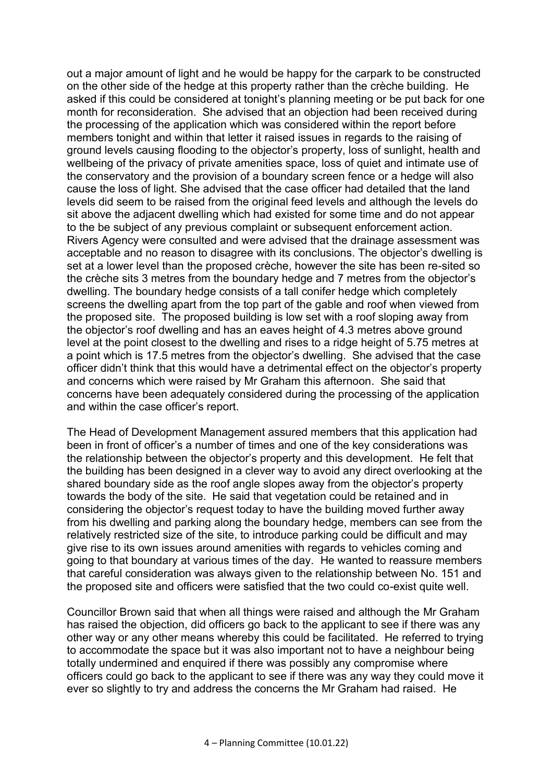out a major amount of light and he would be happy for the carpark to be constructed on the other side of the hedge at this property rather than the crèche building. He asked if this could be considered at tonight's planning meeting or be put back for one month for reconsideration. She advised that an objection had been received during the processing of the application which was considered within the report before members tonight and within that letter it raised issues in regards to the raising of ground levels causing flooding to the objector's property, loss of sunlight, health and wellbeing of the privacy of private amenities space, loss of quiet and intimate use of the conservatory and the provision of a boundary screen fence or a hedge will also cause the loss of light. She advised that the case officer had detailed that the land levels did seem to be raised from the original feed levels and although the levels do sit above the adjacent dwelling which had existed for some time and do not appear to the be subject of any previous complaint or subsequent enforcement action. Rivers Agency were consulted and were advised that the drainage assessment was acceptable and no reason to disagree with its conclusions. The objector's dwelling is set at a lower level than the proposed crèche, however the site has been re-sited so the crèche sits 3 metres from the boundary hedge and 7 metres from the objector's dwelling. The boundary hedge consists of a tall conifer hedge which completely screens the dwelling apart from the top part of the gable and roof when viewed from the proposed site. The proposed building is low set with a roof sloping away from the objector's roof dwelling and has an eaves height of 4.3 metres above ground level at the point closest to the dwelling and rises to a ridge height of 5.75 metres at a point which is 17.5 metres from the objector's dwelling. She advised that the case officer didn't think that this would have a detrimental effect on the objector's property and concerns which were raised by Mr Graham this afternoon. She said that concerns have been adequately considered during the processing of the application and within the case officer's report.

The Head of Development Management assured members that this application had been in front of officer's a number of times and one of the key considerations was the relationship between the objector's property and this development. He felt that the building has been designed in a clever way to avoid any direct overlooking at the shared boundary side as the roof angle slopes away from the objector's property towards the body of the site. He said that vegetation could be retained and in considering the objector's request today to have the building moved further away from his dwelling and parking along the boundary hedge, members can see from the relatively restricted size of the site, to introduce parking could be difficult and may give rise to its own issues around amenities with regards to vehicles coming and going to that boundary at various times of the day. He wanted to reassure members that careful consideration was always given to the relationship between No. 151 and the proposed site and officers were satisfied that the two could co-exist quite well.

Councillor Brown said that when all things were raised and although the Mr Graham has raised the objection, did officers go back to the applicant to see if there was any other way or any other means whereby this could be facilitated. He referred to trying to accommodate the space but it was also important not to have a neighbour being totally undermined and enquired if there was possibly any compromise where officers could go back to the applicant to see if there was any way they could move it ever so slightly to try and address the concerns the Mr Graham had raised. He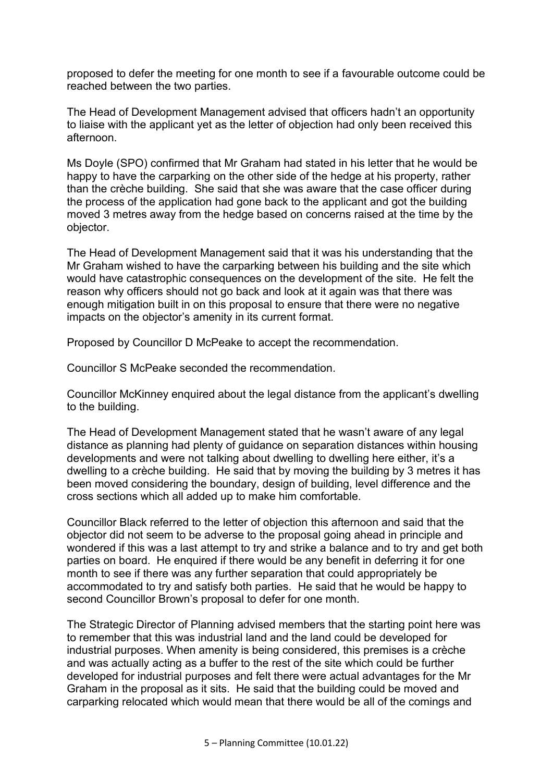proposed to defer the meeting for one month to see if a favourable outcome could be reached between the two parties.

The Head of Development Management advised that officers hadn't an opportunity to liaise with the applicant yet as the letter of objection had only been received this afternoon.

Ms Doyle (SPO) confirmed that Mr Graham had stated in his letter that he would be happy to have the carparking on the other side of the hedge at his property, rather than the crèche building. She said that she was aware that the case officer during the process of the application had gone back to the applicant and got the building moved 3 metres away from the hedge based on concerns raised at the time by the objector.

The Head of Development Management said that it was his understanding that the Mr Graham wished to have the carparking between his building and the site which would have catastrophic consequences on the development of the site. He felt the reason why officers should not go back and look at it again was that there was enough mitigation built in on this proposal to ensure that there were no negative impacts on the objector's amenity in its current format.

Proposed by Councillor D McPeake to accept the recommendation.

Councillor S McPeake seconded the recommendation.

Councillor McKinney enquired about the legal distance from the applicant's dwelling to the building.

The Head of Development Management stated that he wasn't aware of any legal distance as planning had plenty of guidance on separation distances within housing developments and were not talking about dwelling to dwelling here either, it's a dwelling to a crèche building. He said that by moving the building by 3 metres it has been moved considering the boundary, design of building, level difference and the cross sections which all added up to make him comfortable.

Councillor Black referred to the letter of objection this afternoon and said that the objector did not seem to be adverse to the proposal going ahead in principle and wondered if this was a last attempt to try and strike a balance and to try and get both parties on board. He enquired if there would be any benefit in deferring it for one month to see if there was any further separation that could appropriately be accommodated to try and satisfy both parties. He said that he would be happy to second Councillor Brown's proposal to defer for one month.

The Strategic Director of Planning advised members that the starting point here was to remember that this was industrial land and the land could be developed for industrial purposes. When amenity is being considered, this premises is a crèche and was actually acting as a buffer to the rest of the site which could be further developed for industrial purposes and felt there were actual advantages for the Mr Graham in the proposal as it sits. He said that the building could be moved and carparking relocated which would mean that there would be all of the comings and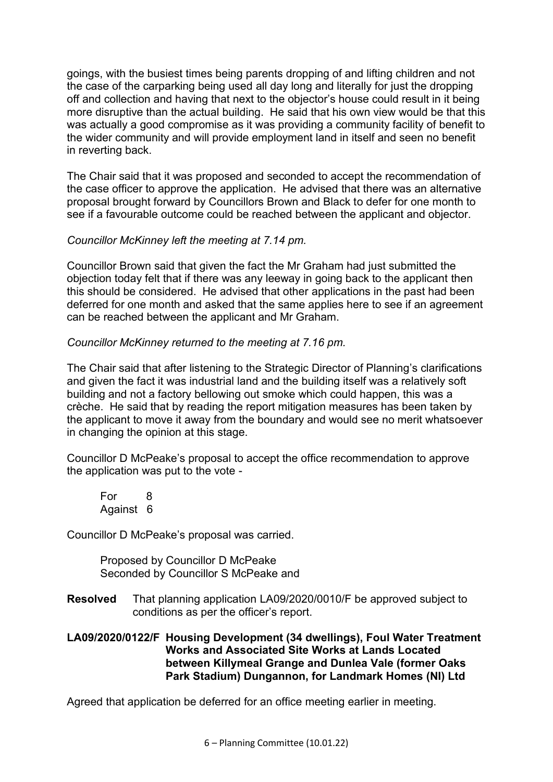goings, with the busiest times being parents dropping of and lifting children and not the case of the carparking being used all day long and literally for just the dropping off and collection and having that next to the objector's house could result in it being more disruptive than the actual building. He said that his own view would be that this was actually a good compromise as it was providing a community facility of benefit to the wider community and will provide employment land in itself and seen no benefit in reverting back.

The Chair said that it was proposed and seconded to accept the recommendation of the case officer to approve the application. He advised that there was an alternative proposal brought forward by Councillors Brown and Black to defer for one month to see if a favourable outcome could be reached between the applicant and objector.

# *Councillor McKinney left the meeting at 7.14 pm.*

Councillor Brown said that given the fact the Mr Graham had just submitted the objection today felt that if there was any leeway in going back to the applicant then this should be considered. He advised that other applications in the past had been deferred for one month and asked that the same applies here to see if an agreement can be reached between the applicant and Mr Graham.

# *Councillor McKinney returned to the meeting at 7.16 pm.*

The Chair said that after listening to the Strategic Director of Planning's clarifications and given the fact it was industrial land and the building itself was a relatively soft building and not a factory bellowing out smoke which could happen, this was a crèche. He said that by reading the report mitigation measures has been taken by the applicant to move it away from the boundary and would see no merit whatsoever in changing the opinion at this stage.

Councillor D McPeake's proposal to accept the office recommendation to approve the application was put to the vote -

 For 8 Against 6

Councillor D McPeake's proposal was carried.

Proposed by Councillor D McPeake Seconded by Councillor S McPeake and

**Resolved** That planning application LA09/2020/0010/F be approved subject to conditions as per the officer's report.

### **LA09/2020/0122/F Housing Development (34 dwellings), Foul Water Treatment Works and Associated Site Works at Lands Located between Killymeal Grange and Dunlea Vale (former Oaks Park Stadium) Dungannon, for Landmark Homes (NI) Ltd**

Agreed that application be deferred for an office meeting earlier in meeting.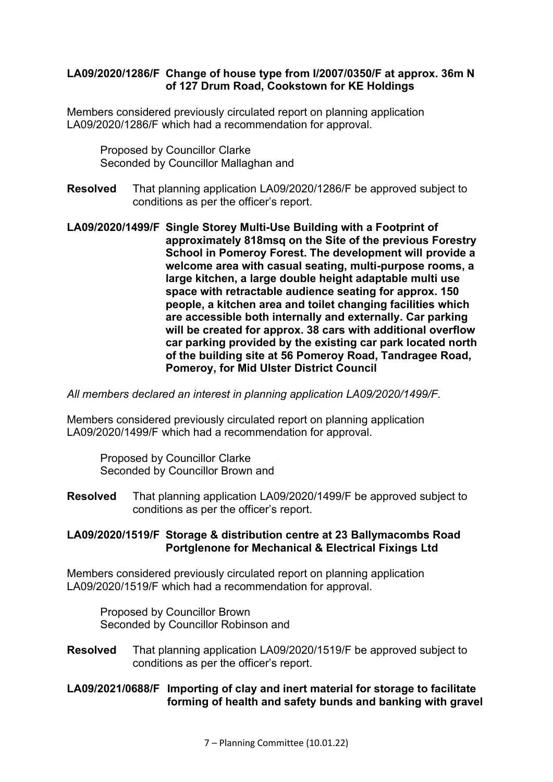### **LA09/2020/1286/F Change of house type from I/2007/0350/F at approx. 36m N of 127 Drum Road, Cookstown for KE Holdings**

Members considered previously circulated report on planning application LA09/2020/1286/F which had a recommendation for approval.

Proposed by Councillor Clarke Seconded by Councillor Mallaghan and

- **Resolved** That planning application LA09/2020/1286/F be approved subject to conditions as per the officer's report.
- **LA09/2020/1499/F Single Storey Multi-Use Building with a Footprint of approximately 818msq on the Site of the previous Forestry School in Pomeroy Forest. The development will provide a welcome area with casual seating, multi-purpose rooms, a large kitchen, a large double height adaptable multi use space with retractable audience seating for approx. 150 people, a kitchen area and toilet changing facilities which are accessible both internally and externally. Car parking will be created for approx. 38 cars with additional overflow car parking provided by the existing car park located north of the building site at 56 Pomeroy Road, Tandragee Road, Pomeroy, for Mid Ulster District Council**

*All members declared an interest in planning application LA09/2020/1499/F.* 

Members considered previously circulated report on planning application LA09/2020/1499/F which had a recommendation for approval.

Proposed by Councillor Clarke Seconded by Councillor Brown and

**Resolved** That planning application LA09/2020/1499/F be approved subject to conditions as per the officer's report.

### **LA09/2020/1519/F Storage & distribution centre at 23 Ballymacombs Road Portglenone for Mechanical & Electrical Fixings Ltd**

Members considered previously circulated report on planning application LA09/2020/1519/F which had a recommendation for approval.

Proposed by Councillor Brown Seconded by Councillor Robinson and

**Resolved** That planning application LA09/2020/1519/F be approved subject to conditions as per the officer's report.

### **LA09/2021/0688/F Importing of clay and inert material for storage to facilitate forming of health and safety bunds and banking with gravel**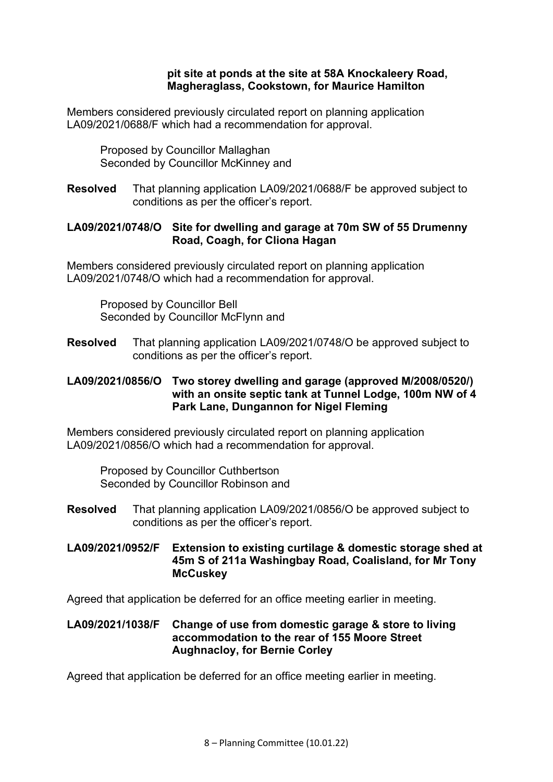#### **pit site at ponds at the site at 58A Knockaleery Road, Magheraglass, Cookstown, for Maurice Hamilton**

Members considered previously circulated report on planning application LA09/2021/0688/F which had a recommendation for approval.

Proposed by Councillor Mallaghan Seconded by Councillor McKinney and

**Resolved** That planning application LA09/2021/0688/F be approved subject to conditions as per the officer's report.

### **LA09/2021/0748/O Site for dwelling and garage at 70m SW of 55 Drumenny Road, Coagh, for Cliona Hagan**

Members considered previously circulated report on planning application LA09/2021/0748/O which had a recommendation for approval.

Proposed by Councillor Bell Seconded by Councillor McFlynn and

**Resolved** That planning application LA09/2021/0748/O be approved subject to conditions as per the officer's report.

### **LA09/2021/0856/O Two storey dwelling and garage (approved M/2008/0520/) with an onsite septic tank at Tunnel Lodge, 100m NW of 4 Park Lane, Dungannon for Nigel Fleming**

Members considered previously circulated report on planning application LA09/2021/0856/O which had a recommendation for approval.

Proposed by Councillor Cuthbertson Seconded by Councillor Robinson and

**Resolved** That planning application LA09/2021/0856/O be approved subject to conditions as per the officer's report.

**LA09/2021/0952/F Extension to existing curtilage & domestic storage shed at 45m S of 211a Washingbay Road, Coalisland, for Mr Tony McCuskey** 

Agreed that application be deferred for an office meeting earlier in meeting.

# **LA09/2021/1038/F Change of use from domestic garage & store to living accommodation to the rear of 155 Moore Street Aughnacloy, for Bernie Corley**

Agreed that application be deferred for an office meeting earlier in meeting.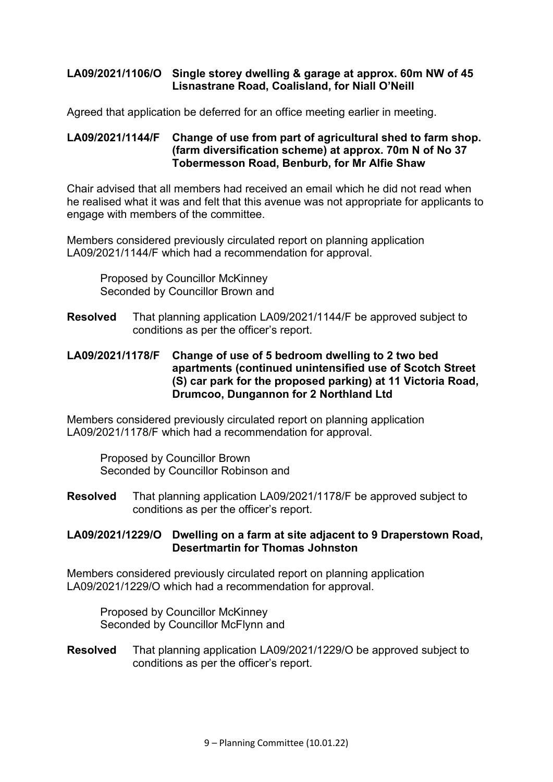# **LA09/2021/1106/O Single storey dwelling & garage at approx. 60m NW of 45 Lisnastrane Road, Coalisland, for Niall O'Neill**

Agreed that application be deferred for an office meeting earlier in meeting.

### **LA09/2021/1144/F Change of use from part of agricultural shed to farm shop. (farm diversification scheme) at approx. 70m N of No 37 Tobermesson Road, Benburb, for Mr Alfie Shaw**

Chair advised that all members had received an email which he did not read when he realised what it was and felt that this avenue was not appropriate for applicants to engage with members of the committee.

Members considered previously circulated report on planning application LA09/2021/1144/F which had a recommendation for approval.

Proposed by Councillor McKinney Seconded by Councillor Brown and

**Resolved** That planning application LA09/2021/1144/F be approved subject to conditions as per the officer's report.

### **LA09/2021/1178/F Change of use of 5 bedroom dwelling to 2 two bed apartments (continued unintensified use of Scotch Street (S) car park for the proposed parking) at 11 Victoria Road, Drumcoo, Dungannon for 2 Northland Ltd**

Members considered previously circulated report on planning application LA09/2021/1178/F which had a recommendation for approval.

Proposed by Councillor Brown Seconded by Councillor Robinson and

**Resolved** That planning application LA09/2021/1178/F be approved subject to conditions as per the officer's report.

### **LA09/2021/1229/O Dwelling on a farm at site adjacent to 9 Draperstown Road, Desertmartin for Thomas Johnston**

Members considered previously circulated report on planning application LA09/2021/1229/O which had a recommendation for approval.

Proposed by Councillor McKinney Seconded by Councillor McFlynn and

**Resolved** That planning application LA09/2021/1229/O be approved subject to conditions as per the officer's report.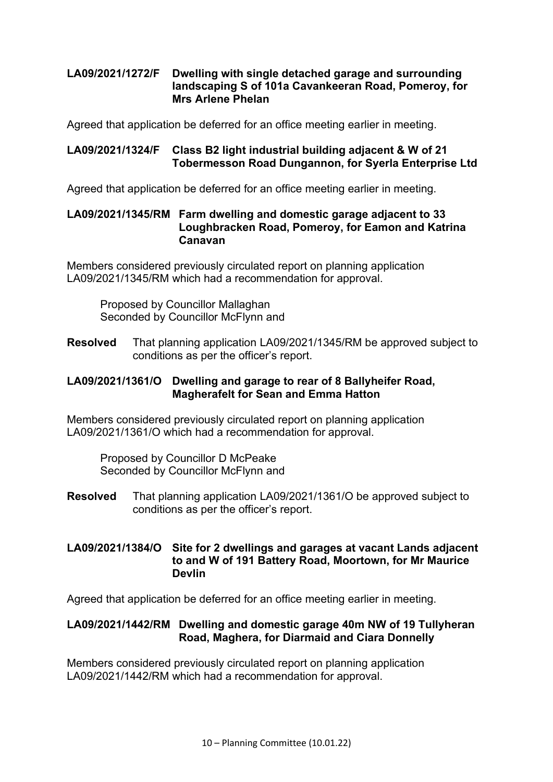# **LA09/2021/1272/F Dwelling with single detached garage and surrounding landscaping S of 101a Cavankeeran Road, Pomeroy, for Mrs Arlene Phelan**

Agreed that application be deferred for an office meeting earlier in meeting.

### **LA09/2021/1324/F Class B2 light industrial building adjacent & W of 21 Tobermesson Road Dungannon, for Syerla Enterprise Ltd**

Agreed that application be deferred for an office meeting earlier in meeting.

#### **LA09/2021/1345/RM Farm dwelling and domestic garage adjacent to 33 Loughbracken Road, Pomeroy, for Eamon and Katrina Canavan**

Members considered previously circulated report on planning application LA09/2021/1345/RM which had a recommendation for approval.

Proposed by Councillor Mallaghan Seconded by Councillor McFlynn and

**Resolved** That planning application LA09/2021/1345/RM be approved subject to conditions as per the officer's report.

### **LA09/2021/1361/O Dwelling and garage to rear of 8 Ballyheifer Road, Magherafelt for Sean and Emma Hatton**

Members considered previously circulated report on planning application LA09/2021/1361/O which had a recommendation for approval.

Proposed by Councillor D McPeake Seconded by Councillor McFlynn and

**Resolved** That planning application LA09/2021/1361/O be approved subject to conditions as per the officer's report.

### **LA09/2021/1384/O Site for 2 dwellings and garages at vacant Lands adjacent to and W of 191 Battery Road, Moortown, for Mr Maurice Devlin**

Agreed that application be deferred for an office meeting earlier in meeting.

### **LA09/2021/1442/RM Dwelling and domestic garage 40m NW of 19 Tullyheran Road, Maghera, for Diarmaid and Ciara Donnelly**

Members considered previously circulated report on planning application LA09/2021/1442/RM which had a recommendation for approval.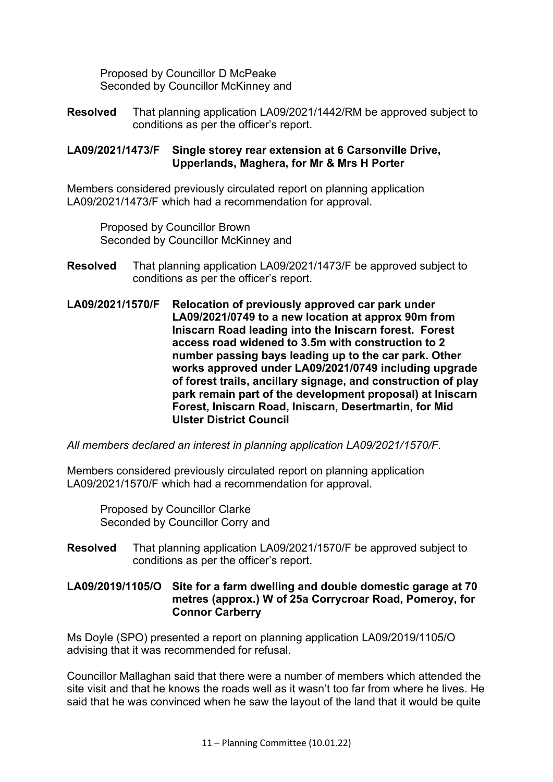Proposed by Councillor D McPeake Seconded by Councillor McKinney and

**Resolved** That planning application LA09/2021/1442/RM be approved subject to conditions as per the officer's report.

### **LA09/2021/1473/F Single storey rear extension at 6 Carsonville Drive, Upperlands, Maghera, for Mr & Mrs H Porter**

Members considered previously circulated report on planning application LA09/2021/1473/F which had a recommendation for approval.

Proposed by Councillor Brown Seconded by Councillor McKinney and

- **Resolved** That planning application LA09/2021/1473/F be approved subject to conditions as per the officer's report.
- **LA09/2021/1570/F Relocation of previously approved car park under LA09/2021/0749 to a new location at approx 90m from Iniscarn Road leading into the Iniscarn forest. Forest access road widened to 3.5m with construction to 2 number passing bays leading up to the car park. Other works approved under LA09/2021/0749 including upgrade of forest trails, ancillary signage, and construction of play park remain part of the development proposal) at Iniscarn Forest, Iniscarn Road, Iniscarn, Desertmartin, for Mid Ulster District Council**

*All members declared an interest in planning application LA09/2021/1570/F.* 

Members considered previously circulated report on planning application LA09/2021/1570/F which had a recommendation for approval.

Proposed by Councillor Clarke Seconded by Councillor Corry and

**Resolved** That planning application LA09/2021/1570/F be approved subject to conditions as per the officer's report.

# **LA09/2019/1105/O Site for a farm dwelling and double domestic garage at 70 metres (approx.) W of 25a Corrycroar Road, Pomeroy, for Connor Carberry**

Ms Doyle (SPO) presented a report on planning application LA09/2019/1105/O advising that it was recommended for refusal.

Councillor Mallaghan said that there were a number of members which attended the site visit and that he knows the roads well as it wasn't too far from where he lives. He said that he was convinced when he saw the layout of the land that it would be quite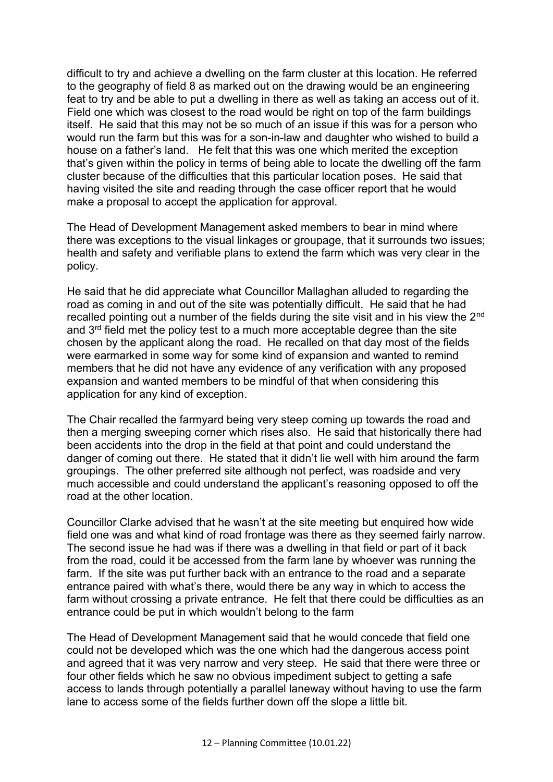difficult to try and achieve a dwelling on the farm cluster at this location. He referred to the geography of field 8 as marked out on the drawing would be an engineering feat to try and be able to put a dwelling in there as well as taking an access out of it. Field one which was closest to the road would be right on top of the farm buildings itself. He said that this may not be so much of an issue if this was for a person who would run the farm but this was for a son-in-law and daughter who wished to build a house on a father's land. He felt that this was one which merited the exception that's given within the policy in terms of being able to locate the dwelling off the farm cluster because of the difficulties that this particular location poses. He said that having visited the site and reading through the case officer report that he would make a proposal to accept the application for approval.

The Head of Development Management asked members to bear in mind where there was exceptions to the visual linkages or groupage, that it surrounds two issues; health and safety and verifiable plans to extend the farm which was very clear in the policy.

He said that he did appreciate what Councillor Mallaghan alluded to regarding the road as coming in and out of the site was potentially difficult. He said that he had recalled pointing out a number of the fields during the site visit and in his view the 2<sup>nd</sup> and 3<sup>rd</sup> field met the policy test to a much more acceptable degree than the site chosen by the applicant along the road. He recalled on that day most of the fields were earmarked in some way for some kind of expansion and wanted to remind members that he did not have any evidence of any verification with any proposed expansion and wanted members to be mindful of that when considering this application for any kind of exception.

The Chair recalled the farmyard being very steep coming up towards the road and then a merging sweeping corner which rises also. He said that historically there had been accidents into the drop in the field at that point and could understand the danger of coming out there. He stated that it didn't lie well with him around the farm groupings. The other preferred site although not perfect, was roadside and very much accessible and could understand the applicant's reasoning opposed to off the road at the other location.

Councillor Clarke advised that he wasn't at the site meeting but enquired how wide field one was and what kind of road frontage was there as they seemed fairly narrow. The second issue he had was if there was a dwelling in that field or part of it back from the road, could it be accessed from the farm lane by whoever was running the farm. If the site was put further back with an entrance to the road and a separate entrance paired with what's there, would there be any way in which to access the farm without crossing a private entrance. He felt that there could be difficulties as an entrance could be put in which wouldn't belong to the farm

The Head of Development Management said that he would concede that field one could not be developed which was the one which had the dangerous access point and agreed that it was very narrow and very steep. He said that there were three or four other fields which he saw no obvious impediment subject to getting a safe access to lands through potentially a parallel laneway without having to use the farm lane to access some of the fields further down off the slope a little bit.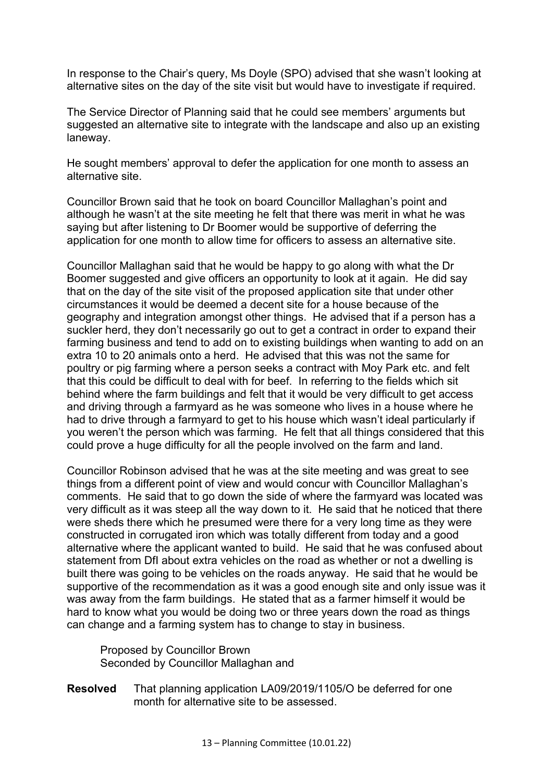In response to the Chair's query, Ms Doyle (SPO) advised that she wasn't looking at alternative sites on the day of the site visit but would have to investigate if required.

The Service Director of Planning said that he could see members' arguments but suggested an alternative site to integrate with the landscape and also up an existing laneway.

He sought members' approval to defer the application for one month to assess an alternative site.

Councillor Brown said that he took on board Councillor Mallaghan's point and although he wasn't at the site meeting he felt that there was merit in what he was saying but after listening to Dr Boomer would be supportive of deferring the application for one month to allow time for officers to assess an alternative site.

Councillor Mallaghan said that he would be happy to go along with what the Dr Boomer suggested and give officers an opportunity to look at it again. He did say that on the day of the site visit of the proposed application site that under other circumstances it would be deemed a decent site for a house because of the geography and integration amongst other things. He advised that if a person has a suckler herd, they don't necessarily go out to get a contract in order to expand their farming business and tend to add on to existing buildings when wanting to add on an extra 10 to 20 animals onto a herd. He advised that this was not the same for poultry or pig farming where a person seeks a contract with Moy Park etc. and felt that this could be difficult to deal with for beef. In referring to the fields which sit behind where the farm buildings and felt that it would be very difficult to get access and driving through a farmyard as he was someone who lives in a house where he had to drive through a farmyard to get to his house which wasn't ideal particularly if you weren't the person which was farming. He felt that all things considered that this could prove a huge difficulty for all the people involved on the farm and land.

Councillor Robinson advised that he was at the site meeting and was great to see things from a different point of view and would concur with Councillor Mallaghan's comments. He said that to go down the side of where the farmyard was located was very difficult as it was steep all the way down to it. He said that he noticed that there were sheds there which he presumed were there for a very long time as they were constructed in corrugated iron which was totally different from today and a good alternative where the applicant wanted to build. He said that he was confused about statement from DfI about extra vehicles on the road as whether or not a dwelling is built there was going to be vehicles on the roads anyway. He said that he would be supportive of the recommendation as it was a good enough site and only issue was it was away from the farm buildings. He stated that as a farmer himself it would be hard to know what you would be doing two or three years down the road as things can change and a farming system has to change to stay in business.

 Proposed by Councillor Brown Seconded by Councillor Mallaghan and

**Resolved** That planning application LA09/2019/1105/O be deferred for one month for alternative site to be assessed.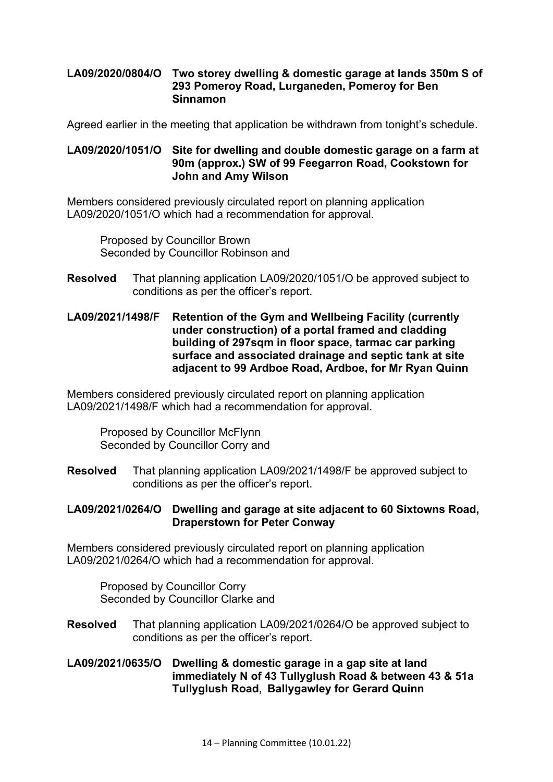### **LA09/2020/0804/O Two storey dwelling & domestic garage at lands 350m S of 293 Pomeroy Road, Lurganeden, Pomeroy for Ben Sinnamon**

Agreed earlier in the meeting that application be withdrawn from tonight's schedule.

#### **LA09/2020/1051/O Site for dwelling and double domestic garage on a farm at 90m (approx.) SW of 99 Feegarron Road, Cookstown for John and Amy Wilson**

Members considered previously circulated report on planning application LA09/2020/1051/O which had a recommendation for approval.

Proposed by Councillor Brown Seconded by Councillor Robinson and

- **Resolved** That planning application LA09/2020/1051/O be approved subject to conditions as per the officer's report.
- **LA09/2021/1498/F Retention of the Gym and Wellbeing Facility (currently under construction) of a portal framed and cladding building of 297sqm in floor space, tarmac car parking surface and associated drainage and septic tank at site adjacent to 99 Ardboe Road, Ardboe, for Mr Ryan Quinn**

Members considered previously circulated report on planning application LA09/2021/1498/F which had a recommendation for approval.

Proposed by Councillor McFlynn Seconded by Councillor Corry and

**Resolved** That planning application LA09/2021/1498/F be approved subject to conditions as per the officer's report.

### **LA09/2021/0264/O Dwelling and garage at site adjacent to 60 Sixtowns Road, Draperstown for Peter Conway**

Members considered previously circulated report on planning application LA09/2021/0264/O which had a recommendation for approval.

Proposed by Councillor Corry Seconded by Councillor Clarke and

**Resolved** That planning application LA09/2021/0264/O be approved subject to conditions as per the officer's report.

### **LA09/2021/0635/O Dwelling & domestic garage in a gap site at land immediately N of 43 Tullyglush Road & between 43 & 51a Tullyglush Road, Ballygawley for Gerard Quinn**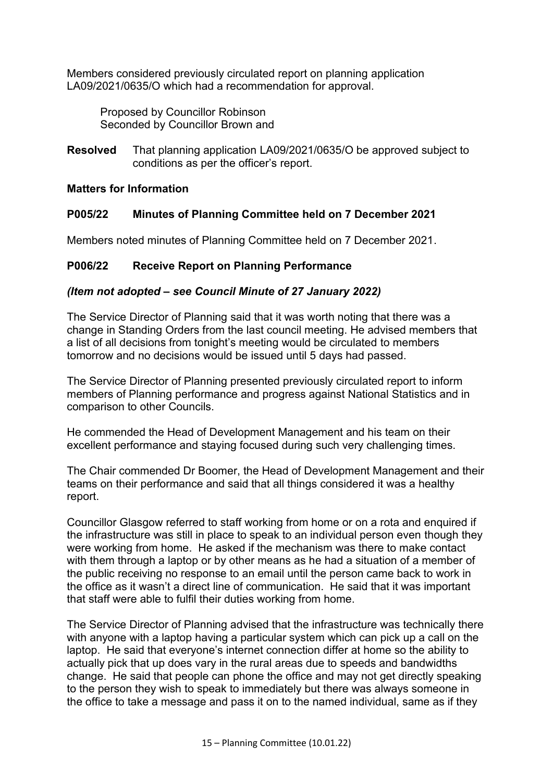Members considered previously circulated report on planning application LA09/2021/0635/O which had a recommendation for approval.

Proposed by Councillor Robinson Seconded by Councillor Brown and

**Resolved** That planning application LA09/2021/0635/O be approved subject to conditions as per the officer's report.

### **Matters for Information**

# **P005/22 Minutes of Planning Committee held on 7 December 2021**

Members noted minutes of Planning Committee held on 7 December 2021.

# **P006/22 Receive Report on Planning Performance**

### *(Item not adopted – see Council Minute of 27 January 2022)*

The Service Director of Planning said that it was worth noting that there was a change in Standing Orders from the last council meeting. He advised members that a list of all decisions from tonight's meeting would be circulated to members tomorrow and no decisions would be issued until 5 days had passed.

The Service Director of Planning presented previously circulated report to inform members of Planning performance and progress against National Statistics and in comparison to other Councils.

He commended the Head of Development Management and his team on their excellent performance and staying focused during such very challenging times.

The Chair commended Dr Boomer, the Head of Development Management and their teams on their performance and said that all things considered it was a healthy report.

Councillor Glasgow referred to staff working from home or on a rota and enquired if the infrastructure was still in place to speak to an individual person even though they were working from home. He asked if the mechanism was there to make contact with them through a laptop or by other means as he had a situation of a member of the public receiving no response to an email until the person came back to work in the office as it wasn't a direct line of communication. He said that it was important that staff were able to fulfil their duties working from home.

The Service Director of Planning advised that the infrastructure was technically there with anyone with a laptop having a particular system which can pick up a call on the laptop. He said that everyone's internet connection differ at home so the ability to actually pick that up does vary in the rural areas due to speeds and bandwidths change. He said that people can phone the office and may not get directly speaking to the person they wish to speak to immediately but there was always someone in the office to take a message and pass it on to the named individual, same as if they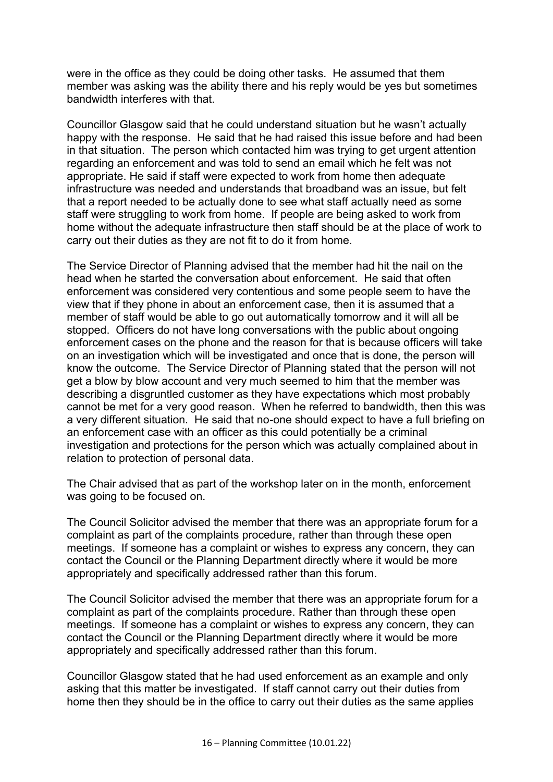were in the office as they could be doing other tasks. He assumed that them member was asking was the ability there and his reply would be yes but sometimes bandwidth interferes with that.

Councillor Glasgow said that he could understand situation but he wasn't actually happy with the response. He said that he had raised this issue before and had been in that situation. The person which contacted him was trying to get urgent attention regarding an enforcement and was told to send an email which he felt was not appropriate. He said if staff were expected to work from home then adequate infrastructure was needed and understands that broadband was an issue, but felt that a report needed to be actually done to see what staff actually need as some staff were struggling to work from home. If people are being asked to work from home without the adequate infrastructure then staff should be at the place of work to carry out their duties as they are not fit to do it from home.

The Service Director of Planning advised that the member had hit the nail on the head when he started the conversation about enforcement. He said that often enforcement was considered very contentious and some people seem to have the view that if they phone in about an enforcement case, then it is assumed that a member of staff would be able to go out automatically tomorrow and it will all be stopped. Officers do not have long conversations with the public about ongoing enforcement cases on the phone and the reason for that is because officers will take on an investigation which will be investigated and once that is done, the person will know the outcome. The Service Director of Planning stated that the person will not get a blow by blow account and very much seemed to him that the member was describing a disgruntled customer as they have expectations which most probably cannot be met for a very good reason. When he referred to bandwidth, then this was a very different situation. He said that no-one should expect to have a full briefing on an enforcement case with an officer as this could potentially be a criminal investigation and protections for the person which was actually complained about in relation to protection of personal data.

The Chair advised that as part of the workshop later on in the month, enforcement was going to be focused on.

The Council Solicitor advised the member that there was an appropriate forum for a complaint as part of the complaints procedure, rather than through these open meetings. If someone has a complaint or wishes to express any concern, they can contact the Council or the Planning Department directly where it would be more appropriately and specifically addressed rather than this forum.

The Council Solicitor advised the member that there was an appropriate forum for a complaint as part of the complaints procedure. Rather than through these open meetings. If someone has a complaint or wishes to express any concern, they can contact the Council or the Planning Department directly where it would be more appropriately and specifically addressed rather than this forum.

Councillor Glasgow stated that he had used enforcement as an example and only asking that this matter be investigated. If staff cannot carry out their duties from home then they should be in the office to carry out their duties as the same applies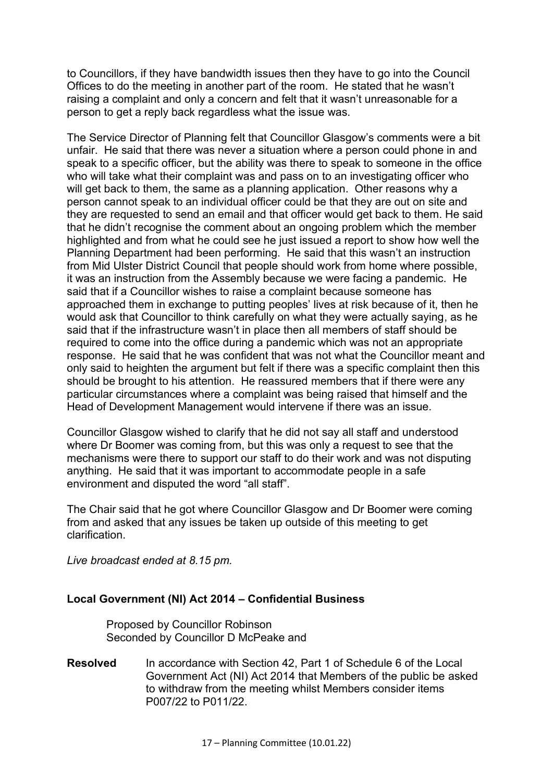to Councillors, if they have bandwidth issues then they have to go into the Council Offices to do the meeting in another part of the room. He stated that he wasn't raising a complaint and only a concern and felt that it wasn't unreasonable for a person to get a reply back regardless what the issue was.

The Service Director of Planning felt that Councillor Glasgow's comments were a bit unfair. He said that there was never a situation where a person could phone in and speak to a specific officer, but the ability was there to speak to someone in the office who will take what their complaint was and pass on to an investigating officer who will get back to them, the same as a planning application. Other reasons why a person cannot speak to an individual officer could be that they are out on site and they are requested to send an email and that officer would get back to them. He said that he didn't recognise the comment about an ongoing problem which the member highlighted and from what he could see he just issued a report to show how well the Planning Department had been performing. He said that this wasn't an instruction from Mid Ulster District Council that people should work from home where possible, it was an instruction from the Assembly because we were facing a pandemic. He said that if a Councillor wishes to raise a complaint because someone has approached them in exchange to putting peoples' lives at risk because of it, then he would ask that Councillor to think carefully on what they were actually saying, as he said that if the infrastructure wasn't in place then all members of staff should be required to come into the office during a pandemic which was not an appropriate response. He said that he was confident that was not what the Councillor meant and only said to heighten the argument but felt if there was a specific complaint then this should be brought to his attention. He reassured members that if there were any particular circumstances where a complaint was being raised that himself and the Head of Development Management would intervene if there was an issue.

Councillor Glasgow wished to clarify that he did not say all staff and understood where Dr Boomer was coming from, but this was only a request to see that the mechanisms were there to support our staff to do their work and was not disputing anything. He said that it was important to accommodate people in a safe environment and disputed the word "all staff".

The Chair said that he got where Councillor Glasgow and Dr Boomer were coming from and asked that any issues be taken up outside of this meeting to get clarification.

*Live broadcast ended at 8.15 pm.*

### **Local Government (NI) Act 2014 – Confidential Business**

Proposed by Councillor Robinson Seconded by Councillor D McPeake and

**Resolved** In accordance with Section 42, Part 1 of Schedule 6 of the Local Government Act (NI) Act 2014 that Members of the public be asked to withdraw from the meeting whilst Members consider items P007/22 to P011/22.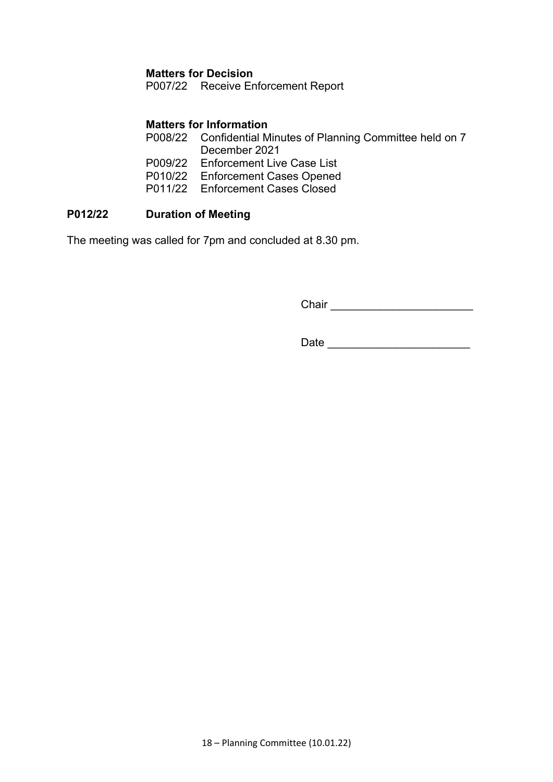### **Matters for Decision**

P007/22 Receive Enforcement Report

### **Matters for Information**

- P008/22 Confidential Minutes of Planning Committee held on 7 December 2021 P009/22 Enforcement Live Case List P010/22 Enforcement Cases Opened
- P011/22 Enforcement Cases Closed

# **P012/22 Duration of Meeting**

The meeting was called for 7pm and concluded at 8.30 pm.

Chair \_\_\_\_\_\_\_\_\_\_\_\_\_\_\_\_\_\_\_\_\_\_\_

Date \_\_\_\_\_\_\_\_\_\_\_\_\_\_\_\_\_\_\_\_\_\_\_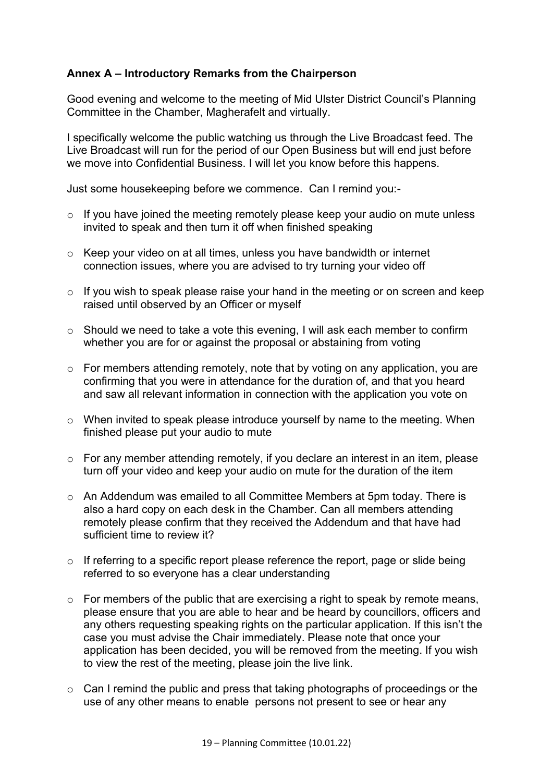# **Annex A – Introductory Remarks from the Chairperson**

Good evening and welcome to the meeting of Mid Ulster District Council's Planning Committee in the Chamber, Magherafelt and virtually.

I specifically welcome the public watching us through the Live Broadcast feed. The Live Broadcast will run for the period of our Open Business but will end just before we move into Confidential Business. I will let you know before this happens.

Just some housekeeping before we commence. Can I remind you:-

- $\circ$  If you have joined the meeting remotely please keep your audio on mute unless invited to speak and then turn it off when finished speaking
- o Keep your video on at all times, unless you have bandwidth or internet connection issues, where you are advised to try turning your video off
- o If you wish to speak please raise your hand in the meeting or on screen and keep raised until observed by an Officer or myself
- o Should we need to take a vote this evening, I will ask each member to confirm whether you are for or against the proposal or abstaining from voting
- $\circ$  For members attending remotely, note that by voting on any application, you are confirming that you were in attendance for the duration of, and that you heard and saw all relevant information in connection with the application you vote on
- o When invited to speak please introduce yourself by name to the meeting. When finished please put your audio to mute
- o For any member attending remotely, if you declare an interest in an item, please turn off your video and keep your audio on mute for the duration of the item
- o An Addendum was emailed to all Committee Members at 5pm today. There is also a hard copy on each desk in the Chamber. Can all members attending remotely please confirm that they received the Addendum and that have had sufficient time to review it?
- $\circ$  If referring to a specific report please reference the report, page or slide being referred to so everyone has a clear understanding
- $\circ$  For members of the public that are exercising a right to speak by remote means, please ensure that you are able to hear and be heard by councillors, officers and any others requesting speaking rights on the particular application. If this isn't the case you must advise the Chair immediately. Please note that once your application has been decided, you will be removed from the meeting. If you wish to view the rest of the meeting, please join the live link.
- $\circ$  Can I remind the public and press that taking photographs of proceedings or the use of any other means to enable persons not present to see or hear any